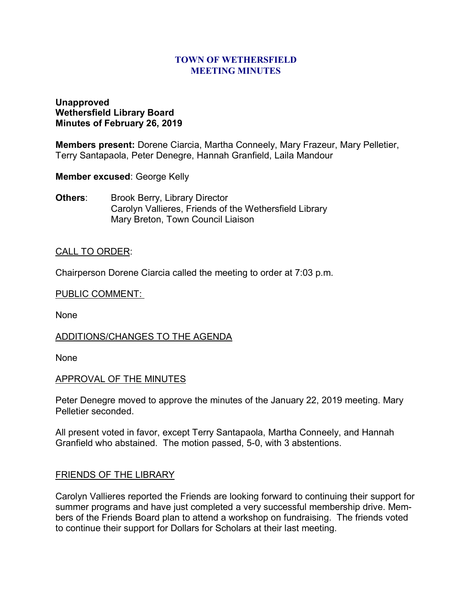#### **TOWN OF WETHERSFIELD MEETING MINUTES**

### **Unapproved Wethersfield Library Board Minutes of February 26, 2019**

**Members present:** Dorene Ciarcia, Martha Conneely, Mary Frazeur, Mary Pelletier, Terry Santapaola, Peter Denegre, Hannah Granfield, Laila Mandour

**Member excused**: George Kelly

**Others:** Brook Berry, Library Director Carolyn Vallieres, Friends of the Wethersfield Library Mary Breton, Town Council Liaison

### CALL TO ORDER:

Chairperson Dorene Ciarcia called the meeting to order at 7:03 p.m.

#### PUBLIC COMMENT:

None

### ADDITIONS/CHANGES TO THE AGENDA

None

### APPROVAL OF THE MINUTES

Peter Denegre moved to approve the minutes of the January 22, 2019 meeting. Mary Pelletier seconded.

All present voted in favor, except Terry Santapaola, Martha Conneely, and Hannah Granfield who abstained. The motion passed, 5-0, with 3 abstentions.

### FRIENDS OF THE LIBRARY

Carolyn Vallieres reported the Friends are looking forward to continuing their support for summer programs and have just completed a very successful membership drive. Members of the Friends Board plan to attend a workshop on fundraising. The friends voted to continue their support for Dollars for Scholars at their last meeting.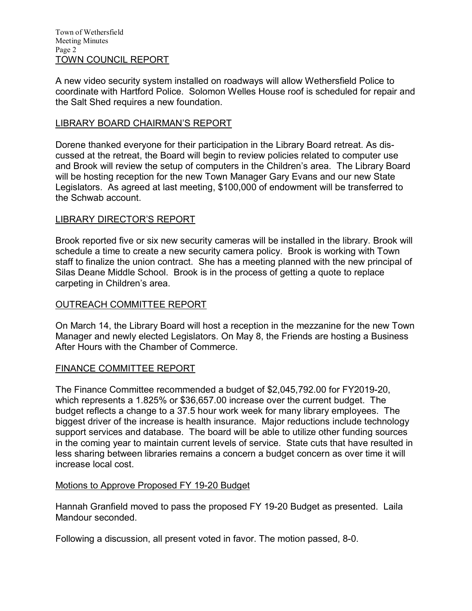A new video security system installed on roadways will allow Wethersfield Police to coordinate with Hartford Police. Solomon Welles House roof is scheduled for repair and the Salt Shed requires a new foundation.

## LIBRARY BOARD CHAIRMAN'S REPORT

Dorene thanked everyone for their participation in the Library Board retreat. As discussed at the retreat, the Board will begin to review policies related to computer use and Brook will review the setup of computers in the Children's area. The Library Board will be hosting reception for the new Town Manager Gary Evans and our new State Legislators. As agreed at last meeting, \$100,000 of endowment will be transferred to the Schwab account.

## LIBRARY DIRECTOR'S REPORT

Brook reported five or six new security cameras will be installed in the library. Brook will schedule a time to create a new security camera policy. Brook is working with Town staff to finalize the union contract. She has a meeting planned with the new principal of Silas Deane Middle School. Brook is in the process of getting a quote to replace carpeting in Children's area.

### OUTREACH COMMITTEE REPORT

On March 14, the Library Board will host a reception in the mezzanine for the new Town Manager and newly elected Legislators. On May 8, the Friends are hosting a Business After Hours with the Chamber of Commerce.

### FINANCE COMMITTEE REPORT

The Finance Committee recommended a budget of \$2,045,792.00 for FY2019-20, which represents a 1.825% or \$36,657.00 increase over the current budget. The budget reflects a change to a 37.5 hour work week for many library employees. The biggest driver of the increase is health insurance. Major reductions include technology support services and database. The board will be able to utilize other funding sources in the coming year to maintain current levels of service. State cuts that have resulted in less sharing between libraries remains a concern a budget concern as over time it will increase local cost.

### Motions to Approve Proposed FY 19-20 Budget

Hannah Granfield moved to pass the proposed FY 19-20 Budget as presented. Laila Mandour seconded.

Following a discussion, all present voted in favor. The motion passed, 8-0.